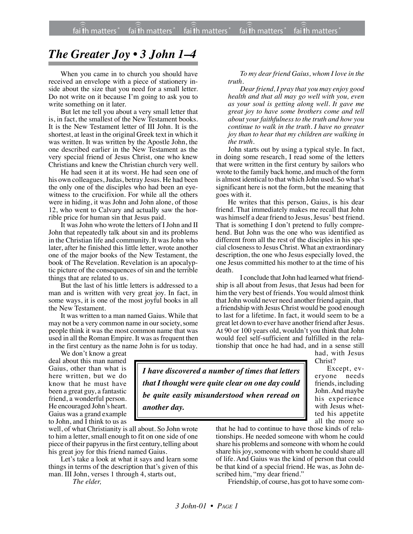## *The Greater Joy • 3 John 1–4*

When you came in to church you should have received an envelope with a piece of stationery inside about the size that you need for a small letter. Do not write on it because I'm going to ask you to write something on it later.

But let me tell you about a very small letter that is, in fact, the smallest of the New Testament books. It is the New Testament letter of III John. It is the shortest, at least in the original Greek text in which it was written. It was written by the Apostle John, the one described earlier in the New Testament as the very special friend of Jesus Christ, one who knew Christians and knew the Christian church very well.

He had seen it at its worst. He had seen one of his own colleagues, Judas, betray Jesus. He had been the only one of the disciples who had been an eyewitness to the crucifixion. For while all the others were in hiding, it was John and John alone, of those 12, who went to Calvary and actually saw the horrible price for human sin that Jesus paid.

It was John who wrote the letters of I John and II John that repeatedly talk about sin and its problems in the Christian life and community. It was John who later, after he finished this little letter, wrote another one of the major books of the New Testament, the book of The Revelation. Revelation is an apocalyptic picture of the consequences of sin and the terrible things that are related to us.

But the last of his little letters is addressed to a man and is written with very great joy. In fact, in some ways, it is one of the most joyful books in all the New Testament.

It was written to a man named Gaius. While that may not be a very common name in oursociety, some people think it was the most common name that was used in all the Roman Empire. It was as frequent then in the first century as the name John is for us today.

We don't know a great deal about this man named Gaius, other than what is here written, but we do know that he must have been a great guy, a fantastic friend, a wonderful person. He encouraged John's heart. Gaius was a grand example to John, and I think to us as

well, of what Christianity is all about. So John wrote to him a letter, small enough to fit on one side of one piece of their papyrus in the first century, telling about his great joy for this friend named Gaius.

*another day.*

Let's take a look at what it says and learn some things in terms of the description that's given of this man. III John, verses 1 through 4, starts out,

*The elder,*

*To my dear friend Gaius, whom I love in the truth.*

*Dear friend, I pray that you may enjoy good health and that all may go well with you, even as your soul is getting along well. It gave me great joy to have some brothers come and tell about your faithfulness to the truth and how you continue to walk in the truth. I have no greater joy than to hear that my children are walking in the truth.*

John starts out by using a typical style. In fact, in doing some research, I read some of the letters that were written in the first century by sailors who wrote to the family back home, and much of the form is almost identical to that which John used. So what's significant here is not the form, but the meaning that goes with it.

He writes that this person, Gaius, is his dear friend. That immediately makes me recall that John was himself a dear friend to Jesus, Jesus' best friend. That is something I don't pretend to fully comprehend. But John was the one who was identified as different from all the rest of the disciples in his special closeness to Jesus Christ. What an extraordinary description, the one who Jesus especially loved, the one Jesus committed his mother to at the time of his death.

I conclude that John had learned what friendship is all about from Jesus, that Jesus had been for him the very best of friends. You would almost think that John would never need another friend again, that a friendship with Jesus Christ would be good enough to last for a lifetime. In fact, it would seem to be a great let down to ever have another friend after Jesus. At 90 or 100 years old, wouldn't you think that John would feel self-sufficient and fulfilled in the relationship that once he had had, and in a sense still had, with Jesus

Christ?

Except, everyone needs friends, including John. And maybe his experience with Jesus whetted his appetite all the more so

that he had to continue to have those kinds of relationships. He needed someone with whom he could share his problems and someone with whom he could share his joy, someone with whom he could share all of life. And Gaius was the kind of person that could be that kind of a special friend. He was, as John described him, "my dear friend."

Friendship, of course, has got to have some com-

*I have discovered a number of times that letters that I thought were quite clear on one day could be quite easily misunderstood when reread on*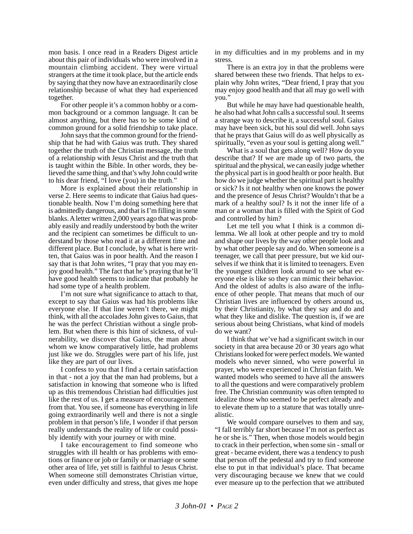mon basis. I once read in a Readers Digest article about this pair of individuals who were involved in a mountain climbing accident. They were virtual strangers at the time it took place, but the article ends by saying that they now have an extraordinarily close relationship because of what they had experienced together.

For other people it's a common hobby or a common background or a common language. It can be almost anything, but there has to be some kind of common ground for a solid friendship to take place.

John says that the common ground for the friendship that he had with Gaius was truth. They shared together the truth of the Christian message, the truth of a relationship with Jesus Christ and the truth that is taught within the Bible. In other words, they believed the same thing, and that's why John could write to his dear friend, "I love (you) in the truth."

More is explained about their relationship in verse 2. Here seems to indicate that Gaius had questionable health. Now I'm doing something here that is admittedly dangerous, and that is I'm filling in some blanks. A letter written 2,000 years ago that was probably easily and readily understood by both the writer and the recipient can sometimes be difficult to understand by those who read it at a different time and different place. But I conclude, by what is here written, that Gaius was in poor health. And the reason I say that is that John writes, "I pray that you may enjoy good health." The fact that he's praying that he'll have good health seems to indicate that probably he had some type of a health problem.

I'm not sure what significance to attach to that, except to say that Gaius was had his problems like everyone else. If that line weren't there, we might think, with all the accolades John gives to Gaius, that he was the perfect Christian without a single problem. But when there is this hint of sickness, of vulnerability, we discover that Gaius, the man about whom we know comparatively little, had problems just like we do. Struggles were part of his life, just like they are part of our lives.

I confess to you that I find a certain satisfaction in that - not a joy that the man had problems, but a satisfaction in knowing that someone who is lifted up as this tremendous Christian had difficulties just like the rest of us. I get a measure of encouragement from that. You see, if someone has everything in life going extraordinarily well and there is not a single problem in that person's life, I wonder if that person really understands the reality of life or could possibly identify with your journey or with mine.

I take encouragement to find someone who struggles with ill health or has problems with emotions or finance or job or family or marriage or some other area of life, yet still is faithful to Jesus Christ. When someone still demonstrates Christian virtue, even under difficulty and stress, that gives me hope in my difficulties and in my problems and in my stress.

There is an extra joy in that the problems were shared between these two friends. That helps to explain why John writes, "Dear friend, I pray that you may enjoy good health and that all may go well with you."

But while he may have had questionable health, he also had what John calls a successful soul. It seems a strange way to describe it, a successful soul. Gaius may have been sick, but his soul did well. John says that he prays that Gaius will do as well physically as spiritually, "even as your soul is getting along well."

What is a soul that gets along well? How do you describe that? If we are made up of two parts, the spiritual and the physical, we can easily judge whether the physical part is in good health or poor health. But how do we judge whether the spiritual part is healthy or sick? Is it not healthy when one knows the power and the presence of Jesus Christ? Wouldn't that be a mark of a healthy soul? Is it not the inner life of a man or a woman that is filled with the Spirit of God and controlled by him?

Let me tell you what I think is a common dilemma. We all look at other people and try to mold and shape our lives by the way other people look and by what other people say and do. When someone is a teenager, we call that peer pressure, but we kid ourselves if we think that it is limited to teenagers. Even the youngest children look around to see what everyone else is like so they can mimic their behavior. And the oldest of adults is also aware of the influence of other people. That means that much of our Christian lives are influenced by others around us, by their Christianity, by what they say and do and what they like and dislike. The question is, if we are serious about being Christians, what kind of models do we want?

I think that we've had a significant switch in our society in that area because 20 or 30 years ago what Christians looked for were perfect models. We wanted models who never sinned, who were powerful in prayer, who were experienced in Christian faith. We wanted models who seemed to have all the answers to all the questions and were comparatively problem free. The Christian community was often tempted to idealize those who seemed to be perfect already and to elevate them up to a stature that was totally unrealistic.

We would compare ourselves to them and say, "I fall terribly far short because I'm not as perfect as he or she is." Then, when those models would begin to crack in their perfection, when some sin - small or great - became evident, there was a tendency to push that person off the pedestal and try to find someone else to put in that individual's place. That became very discouraging because we knew that we could ever measure up to the perfection that we attributed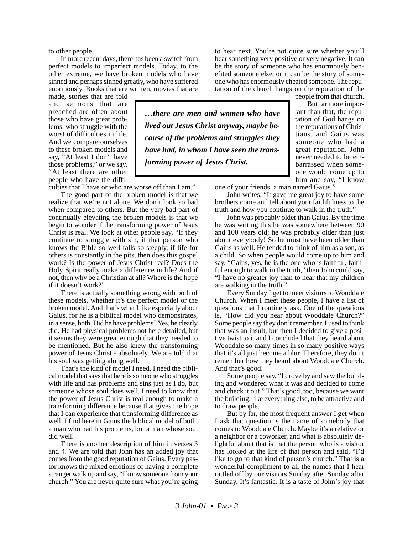to other people.

In more recent days, there has been a switch from perfect models to imperfect models. Today, to the other extreme, we have broken models who have sinned and perhaps sinned greatly, who have suffered enormously. Books that are written, movies that are

made, stories that are told and sermons that are preached are often about those who have great problems, who struggle with the worst of difficulties in life. And we compare ourselves to these broken models and say, "At least I don't have those problems," or we say, "At least there are other people who have the diffi-

culties that I have or who are worse off than I am."

The good part of the broken model is that we realize that we're not alone. We don't look so bad when compared to others. But the very bad part of continually elevating the broken models is that we begin to wonder if the transforming power of Jesus Christ is real. We look at other people say, "If they continue to struggle with sin, if that person who knows the Bible so well falls so steeply, if life for others is constantly in the pits, then does this gospel work? Is the power of Jesus Christ real? Does the Holy Spirit really make a difference in life? And if not, then why be a Christian at all? Where is the hope if it doesn't work?"

There is actually something wrong with both of these models, whether it's the perfect model or the broken model. And that's what I like especially about Gaius, for he is a biblical model who demonstrates, in a sense, both. Did he have problems? Yes, he clearly did. He had physical problems not here detailed, but it seems they were great enough that they needed to be mentioned. But he also knew the transforming power of Jesus Christ - absolutely. We are told that his soul was getting along well.

That's the kind of model I need. I need the biblical model that says that here is someone who struggles with life and has problems and sins just as I do, but someone whose soul does well. I need to know that the power of Jesus Christ is real enough to make a transforming difference because that gives me hope that I can experience that transforming difference as well. I find here in Gaius the biblical model of both, a man who had his problems, but a man whose soul did well.

There is another description of him in verses 3 and 4. We are told that John has an added joy that comes from the good reputation of Gaius. Every pastor knows the mixed emotions of having a complete stranger walk up and say, "I know someone from your church." You are never quite sure what you're going to hear next. You're not quite sure whether you'll hear something very positive or very negative. It can be the story of someone who has enormously benefited someone else, or it can be the story of someone who has enormously cheated someone. The reputation of the church hangs on the reputation of the

*…there are men and women who have lived out Jesus Christ anyway, maybe because of the problems and struggles they have had, in whom I have seen the transforming power of Jesus Christ.*

people from that church. But far more important than that, the reputation of God hangs on the reputations of Christians, and Gaius was someone who had a great reputation. John never needed to be embarrassed when someone would come up to him and say, "I know

one of your friends, a man named Gaius."

John writes, "It gave me great joy to have some brothers come and tell about your faithfulness to the truth and how you continue to walk in the truth."

John was probably older than Gaius. By the time he was writing this he was somewhere between 90 and 100 years old; he was probably older than just about everybody! So he must have been older than Gaius as well. He tended to think of him as a son, as a child. So when people would come up to him and say, "Gaius, yes, he is the one who is faithful, faithful enough to walk in the truth," then John could say, "I have no greater joy than to hear that my children are walking in the truth."

Every Sunday I get to meet visitors to Wooddale Church. When I meet these people, I have a list of questions that I routinely ask. One of the questions is, "How did you hear about Wooddale Church?" Some people say they don't remember. I used to think that was an insult, but then I decided to give a positive twist to it and I concluded that they heard about Wooddale so many times in so many positive ways that it's all just become a blur. Therefore, they don't remember how they heard about Wooddale Church. And that's good.

Some people say, "I drove by and saw the building and wondered what it was and decided to come and check it out." That's good, too, because we want the building, like everything else, to be attractive and to draw people.

But by far, the most frequent answer I get when I ask that question is the name of somebody that comes to Wooddale Church. Maybe it's a relative or a neighbor or a coworker, and what is absolutely delightful about that is that the person who is a visitor has looked at the life of that person and said, "I'd like to go to that kind of person's church." That is a wonderful compliment to all the names that I hear rattled off by our visitors Sunday after Sunday after Sunday. It's fantastic. It is a taste of John's joy that